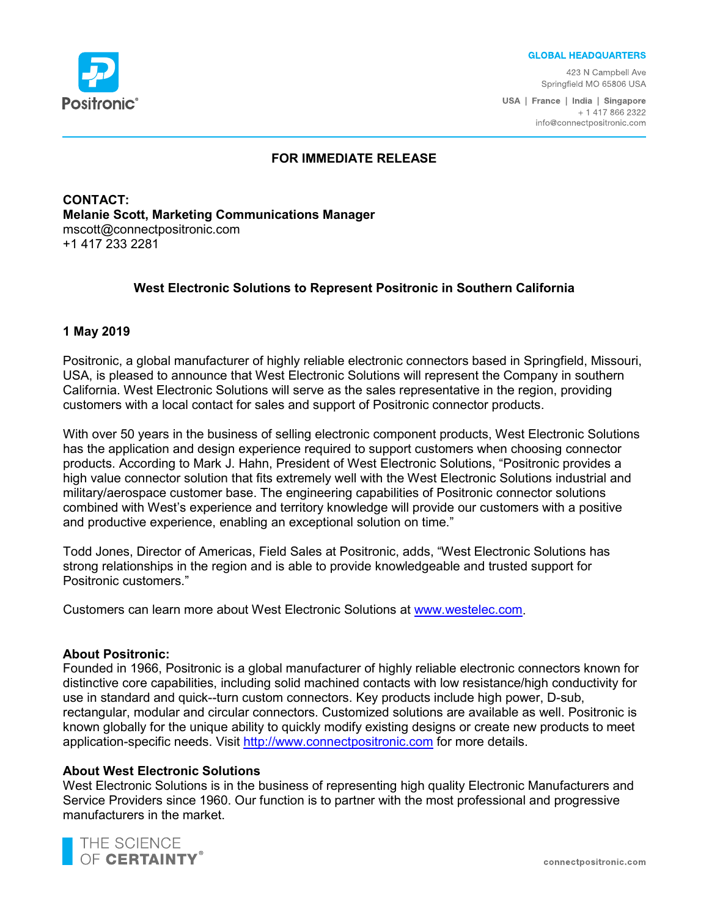

#### **GLOBAL HEADQUARTERS**

423 N Campbell Ave Springfield MO 65806 USA

USA | France | India | Singapore + 1 417 866 2322 info@connectpositronic.com

## **FOR IMMEDIATE RELEASE**

**CONTACT: Melanie Scott, Marketing Communications Manager** mscott@connectpositronic.com +1 417 233 2281

# **West Electronic Solutions to Represent Positronic in Southern California**

### **1 May 2019**

Positronic, a global manufacturer of highly reliable electronic connectors based in Springfield, Missouri, USA, is pleased to announce that West Electronic Solutions will represent the Company in southern California. West Electronic Solutions will serve as the sales representative in the region, providing customers with a local contact for sales and support of Positronic connector products.

With over 50 years in the business of selling electronic component products, West Electronic Solutions has the application and design experience required to support customers when choosing connector products. According to Mark J. Hahn, President of West Electronic Solutions, "Positronic provides a high value connector solution that fits extremely well with the West Electronic Solutions industrial and military/aerospace customer base. The engineering capabilities of Positronic connector solutions combined with West's experience and territory knowledge will provide our customers with a positive and productive experience, enabling an exceptional solution on time."

Todd Jones, Director of Americas, Field Sales at Positronic, adds, "West Electronic Solutions has strong relationships in the region and is able to provide knowledgeable and trusted support for Positronic customers."

Customers can learn more about West Electronic Solutions at [www.westelec.com.](https://www.westelec.com/)

### **About Positronic:**

Founded in 1966, Positronic is a global manufacturer of highly reliable electronic connectors known for distinctive core capabilities, including solid machined contacts with low resistance/high conductivity for use in standard and quick--turn custom connectors. Key products include high power, D-sub, rectangular, modular and circular connectors. Customized solutions are available as well. Positronic is known globally for the unique ability to quickly modify existing designs or create new products to meet application-specific needs. Visit [http://www.connectpositronic.com](http://www.connectpositronic.com/) for more details.

### **About West Electronic Solutions**

West Electronic Solutions is in the business of representing high quality Electronic Manufacturers and Service Providers since 1960. Our function is to partner with the most professional and progressive manufacturers in the market.